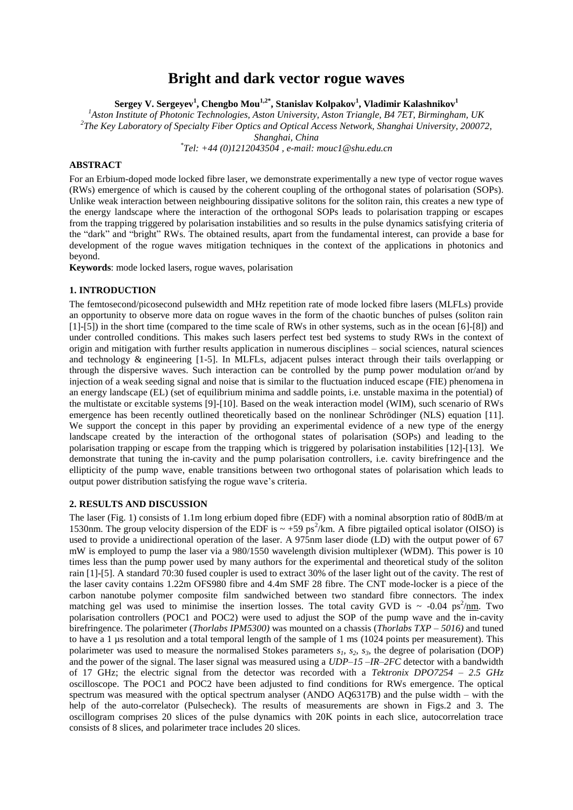# **Bright and dark vector rogue waves**

**Sergey V. Sergeyev<sup>1</sup> , Chengbo Mou1,2\* , Stanislav Kolpakov<sup>1</sup> , Vladimir Kalashnikov<sup>1</sup>**

*<sup>1</sup>Aston Institute of Photonic Technologies, Aston University, Aston Triangle, B4 7ET, Birmingham, UK 2 The Key Laboratory of Specialty Fiber Optics and Optical Access Network, Shanghai University, 200072,*

*Shanghai, China*

*\* Tel: +44 (0)1212043504 , e-mail: mouc1@shu.edu.cn*

## **ABSTRACT**

For an Erbium-doped mode locked fibre laser, we demonstrate experimentally a new type of vector rogue waves (RWs) emergence of which is caused by the coherent coupling of the orthogonal states of polarisation (SOPs). Unlike weak interaction between neighbouring dissipative solitons for the soliton rain, this creates a new type of the energy landscape where the interaction of the orthogonal SOPs leads to polarisation trapping or escapes from the trapping triggered by polarisation instabilities and so results in the pulse dynamics satisfying criteria of the "dark" and "bright" RWs. The obtained results, apart from the fundamental interest, can provide a base for development of the rogue waves mitigation techniques in the context of the applications in photonics and beyond.

**Keywords**: mode locked lasers, rogue waves, polarisation

## **1. INTRODUCTION**

The femtosecond/picosecond pulsewidth and MHz repetition rate of mode locked fibre lasers (MLFLs) provide an opportunity to observe more data on rogue waves in the form of the chaotic bunches of pulses (soliton rain [1]-[5]) in the short time (compared to the time scale of RWs in other systems, such as in the ocean [6]-[8]) and under controlled conditions. This makes such lasers perfect test bed systems to study RWs in the context of origin and mitigation with further results application in numerous disciplines – social sciences, natural sciences and technology  $\&$  engineering [1-5]. In MLFLs, adjacent pulses interact through their tails overlapping or through the dispersive waves. Such interaction can be controlled by the pump power modulation or/and by injection of a weak seeding signal and noise that is similar to the fluctuation induced escape (FIE) phenomena in an energy landscape (EL) (set of equilibrium minima and saddle points, i.e. unstable maxima in the potential) of the multistate or excitable systems [9]-[10]. Based on the weak interaction model (WIM), such scenario of RWs emergence has been recently outlined theoretically based on the nonlinear Schrödinger (NLS) equation [11]. We support the concept in this paper by providing an experimental evidence of a new type of the energy landscape created by the interaction of the orthogonal states of polarisation (SOPs) and leading to the polarisation trapping or escape from the trapping which is triggered by polarisation instabilities [12]-[13]. We demonstrate that tuning the in-cavity and the pump polarisation controllers, i.e. cavity birefringence and the ellipticity of the pump wave, enable transitions between two orthogonal states of polarisation which leads to output power distribution satisfying the rogue wave's criteria.

#### **2. RESULTS AND DISCUSSION**

The laser (Fig. 1) consists of 1.1m long erbium doped fibre (EDF) with a nominal absorption ratio of 80dB/m at 1530nm. The group velocity dispersion of the EDF is  $\sim +59$  ps<sup>2</sup>/km. A fibre pigtailed optical isolator (OISO) is used to provide a unidirectional operation of the laser. A 975nm laser diode (LD) with the output power of 67 mW is employed to pump the laser via a 980/1550 wavelength division multiplexer (WDM). This power is 10 times less than the pump power used by many authors for the experimental and theoretical study of the soliton rain [1]-[5]. A standard 70:30 fused coupler is used to extract 30% of the laser light out of the cavity. The rest of the laser cavity contains 1.22m OFS980 fibre and 4.4m SMF 28 fibre. The CNT mode-locker is a piece of the carbon nanotube polymer composite film sandwiched between two standard fibre connectors. The index matching gel was used to minimise the insertion losses. The total cavity GVD is  $\sim$  -0.04 ps<sup>2</sup>/<u>nm</u>. Two polarisation controllers (POC1 and POC2) were used to adjust the SOP of the pump wave and the in-cavity birefringence. The polarimeter (*Thorlabs IPM5300)* was mounted on a chassis (*Thorlabs TXP – 5016)* and tuned to have a 1 µs resolution and a total temporal length of the sample of 1 ms (1024 points per measurement). This polarimeter was used to measure the normalised Stokes parameters  $s_i$ ,  $s_2$ ,  $s_3$ , the degree of polarisation (DOP) and the power of the signal. The laser signal was measured using a *UDP–15 –IR–2FC* detector with a bandwidth of 17 GHz; the electric signal from the detector was recorded with a *Tektronix DPO7254 – 2.5 GHz*  oscilloscope. The POC1 and POC2 have been adjusted to find conditions for RWs emergence. The optical spectrum was measured with the optical spectrum analyser (ANDO AQ6317B) and the pulse width – with the help of the auto-correlator (Pulsecheck). The results of measurements are shown in Figs.2 and 3. The oscillogram comprises 20 slices of the pulse dynamics with 20K points in each slice, autocorrelation trace consists of 8 slices, and polarimeter trace includes 20 slices.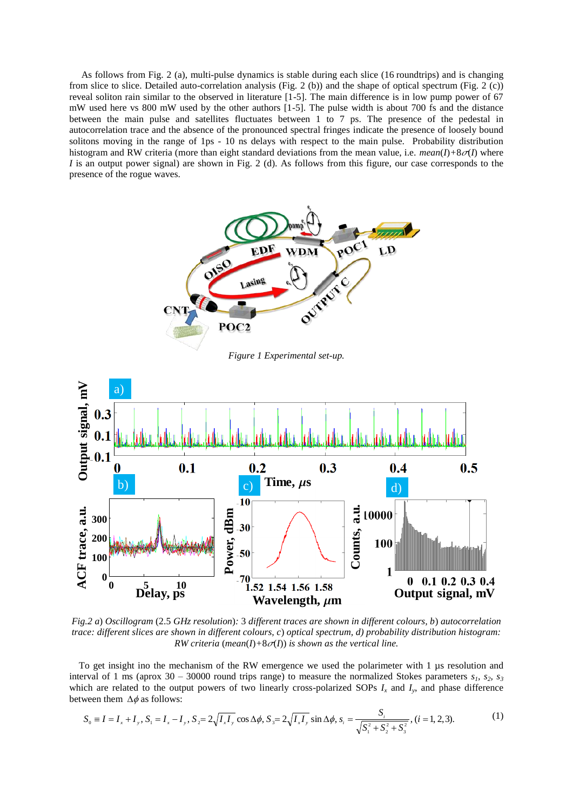As follows from Fig. 2 (a), multi-pulse dynamics is stable during each slice (16 roundtrips) and is changing from slice to slice. Detailed auto-correlation analysis (Fig. 2 (b)) and the shape of optical spectrum (Fig. 2 (c)) reveal soliton rain similar to the observed in literature [1-5]. The main difference is in low pump power of 67 mW used here vs 800 mW used by the other authors [1-5]. The pulse width is about 700 fs and the distance between the main pulse and satellites fluctuates between 1 to 7 ps. The presence of the pedestal in autocorrelation trace and the absence of the pronounced spectral fringes indicate the presence of loosely bound solitons moving in the range of 1ps - 10 ns delays with respect to the main pulse. Probability distribution histogram and RW criteria (more than eight standard deviations from the mean value, i.e.  $mean(I) + 8\sigma(I)$  where *I* is an output power signal) are shown in Fig. 2 (d). As follows from this figure, our case corresponds to the presence of the rogue waves.



*Figure 1 Experimental set-up.*



*Fig.2 a*) *Oscillogram* (2.5 *GHz resolution*)*:* 3 *different traces are shown in different colours, b*) *autocorrelation trace: different slices are shown in different colours, c*) *optical spectrum, d) probability distribution histogram: RW criteria (mean(I)*+8 $\sigma$ (*I)) is shown as the vertical line.* 

To get insight ino the mechanism of the RW emergence we used the polarimeter with 1 µs resolution and interval of 1 ms (aprox 30 – 30000 round trips range) to measure the normalized Stokes parameters  $s_1$ ,  $s_2$ ,  $s_3$ which are related to the output powers of two linearly cross-polarized SOPs  $I_x$  and  $I_y$ , and phase difference between them  $\Delta \phi$  as follows:

$$
S_0 \equiv I = I_x + I_y, S_1 = I_x - I_y, S_2 = 2\sqrt{I_x I_y} \cos \Delta\phi, S_3 = 2\sqrt{I_x I_y} \sin \Delta\phi, s_i = \frac{S_i}{\sqrt{S_1^2 + S_2^2 + S_3^2}}, (i = 1, 2, 3).
$$
 (1)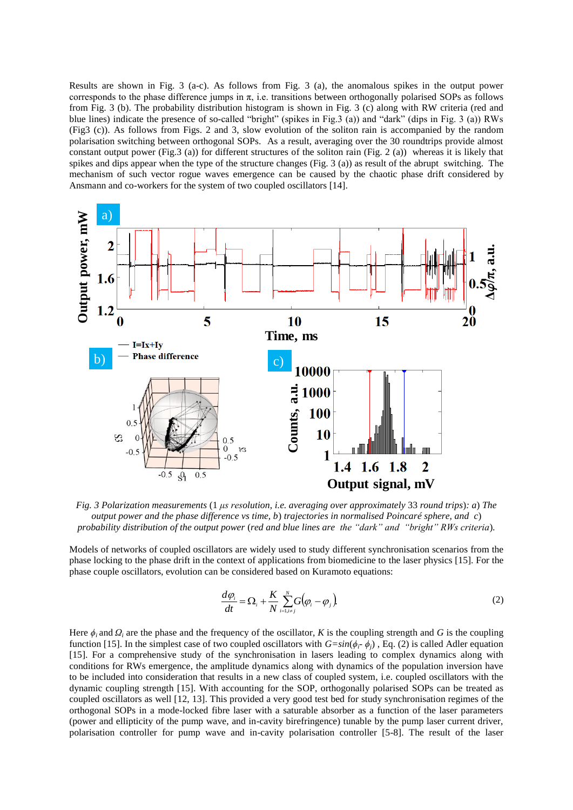Results are shown in Fig. 3 (a-c). As follows from Fig. 3 (a), the anomalous spikes in the output power corresponds to the phase difference jumps in  $\pi$ , i.e. transitions between orthogonally polarised SOPs as follows from Fig. 3 (b). The probability distribution histogram is shown in Fig. 3 (c) along with RW criteria (red and blue lines) indicate the presence of so-called "bright" (spikes in Fig.3 (a)) and "dark" (dips in Fig. 3 (a)) RWs (Fig3 (c)). As follows from Figs. 2 and 3, slow evolution of the soliton rain is accompanied by the random polarisation switching between orthogonal SOPs. As a result, averaging over the 30 roundtrips provide almost constant output power (Fig.3 (a)) for different structures of the soliton rain (Fig. 2 (a)) whereas it is likely that spikes and dips appear when the type of the structure changes (Fig. 3 (a)) as result of the abrupt switching. The mechanism of such vector rogue waves emergence can be caused by the chaotic phase drift considered by Ansmann and co-workers for the system of two coupled oscillators [14].



*Fig. 3 Polarization measurements* (1 *μs resolution, i.e. averaging over approximately* 33 *round trips*)*: a*) *The output power and the phase difference vs time, b*) *trajectories in normalised Poincaré sphere, and c*) *probability distribution of the output power* (*red and blue lines are the "dark" and "bright" RWs criteria*)*.*

Models of networks of coupled oscillators are widely used to study different synchronisation scenarios from the phase locking to the phase drift in the context of applications from biomedicine to the laser physics [15]. For the phase couple oscillators, evolution can be considered based on Kuramoto equations:

$$
\frac{d\varphi_i}{dt} = \Omega_i + \frac{K}{N} \sum_{i=1, i \neq j}^{N} G(\varphi_i - \varphi_j)
$$
\n(2)

Here  $\phi_i$  and  $\Omega_i$  are the phase and the frequency of the oscillator, *K* is the coupling strength and *G* is the coupling function [15]. In the simplest case of two coupled oscillators with  $G=sin(\phi_i, \phi_j)$ , Eq. (2) is called Adler equation [15]. For a comprehensive study of the synchronisation in lasers leading to complex dynamics along with conditions for RWs emergence, the amplitude dynamics along with dynamics of the population inversion have to be included into consideration that results in a new class of coupled system, i.e. coupled oscillators with the dynamic coupling strength [15]. With accounting for the SOP, orthogonally polarised SOPs can be treated as coupled oscillators as well [12, 13]. This provided a very good test bed for study synchronisation regimes of the orthogonal SOPs in a mode-locked fibre laser with a saturable absorber as a function of the laser parameters (power and ellipticity of the pump wave, and in-cavity birefringence) tunable by the pump laser current driver, polarisation controller for pump wave and in-cavity polarisation controller [5-8]. The result of the laser